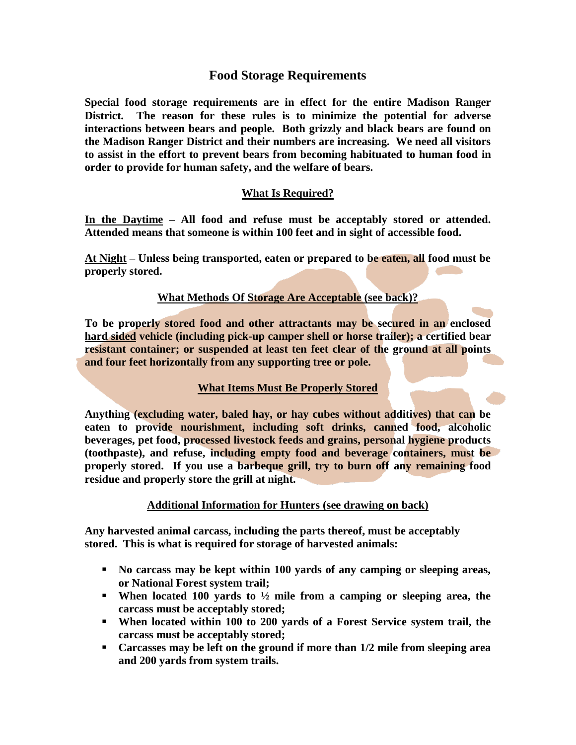# **Food Storage Requirements**

**Special food storage requirements are in effect for the entire Madison Ranger District. The reason for these rules is to minimize the potential for adverse interactions between bears and people. Both grizzly and black bears are found on the Madison Ranger District and their numbers are increasing. We need all visitors to assist in the effort to prevent bears from becoming habituated to human food in order to provide for human safety, and the welfare of bears.** 

## **What Is Required?**

**In the Daytime – All food and refuse must be acceptably stored or attended. Attended means that someone is within 100 feet and in sight of accessible food.**

**At Night – Unless being transported, eaten or prepared to be eaten, all food must be properly stored.**

### **What Methods Of Storage Are Acceptable (see back)?**

**To be properly stored food and other attractants may be secured in an enclosed hard sided vehicle (including pick-up camper shell or horse trailer); a certified bear resistant container; or suspended at least ten feet clear of the ground at all points and four feet horizontally from any supporting tree or pole.**

### **What Items Must Be Properly Stored**

**Anything (excluding water, baled hay, or hay cubes without additives) that can be eaten to provide nourishment, including soft drinks, canned food, alcoholic beverages, pet food, processed livestock feeds and grains, personal hygiene products (toothpaste), and refuse, including empty food and beverage containers, must be properly stored. If you use a barbeque grill, try to burn off any remaining food residue and properly store the grill at night.**

### **Additional Information for Hunters (see drawing on back)**

**Any harvested animal carcass, including the parts thereof, must be acceptably stored. This is what is required for storage of harvested animals:**

- **No carcass may be kept within 100 yards of any camping or sleeping areas, or National Forest system trail;**
- **When located 100 yards to ½ mile from a camping or sleeping area, the carcass must be acceptably stored;**
- **When located within 100 to 200 yards of a Forest Service system trail, the carcass must be acceptably stored;**
- **Carcasses may be left on the ground if more than 1/2 mile from sleeping area and 200 yards from system trails.**